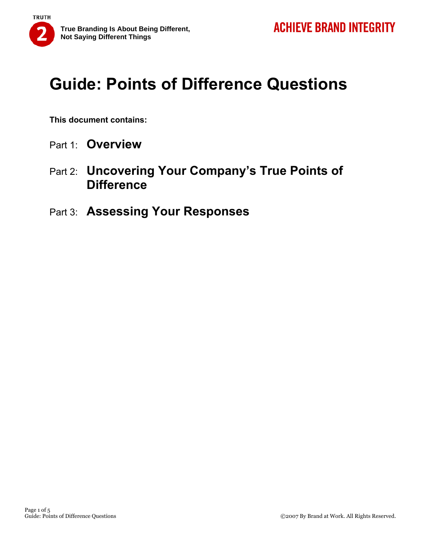

**This document contains:** 

- Part 1: **Overview**
- Part 2: **Uncovering Your Company's True Points of Difference**
- Part 3: **Assessing Your Responses**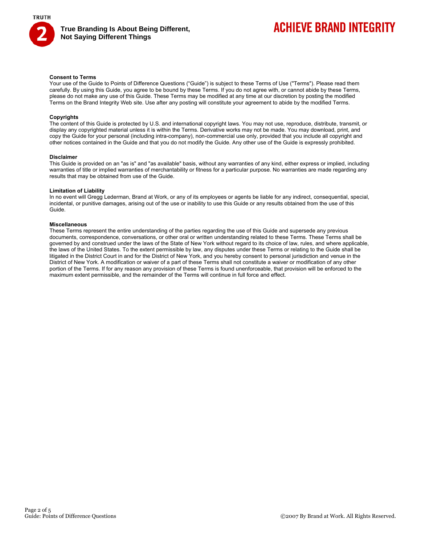

### **ACHIEVE BRAND INTEGRITY**

### **Consent to Terms**

Your use of the Guide to Points of Difference Questions ("Guide") is subject to these Terms of Use ("Terms"). Please read them carefully. By using this Guide, you agree to be bound by these Terms. If you do not agree with, or cannot abide by these Terms, please do not make any use of this Guide. These Terms may be modified at any time at our discretion by posting the modified Terms on the Brand Integrity Web site. Use after any posting will constitute your agreement to abide by the modified Terms.

#### **Copyrights**

The content of this Guide is protected by U.S. and international copyright laws. You may not use, reproduce, distribute, transmit, or display any copyrighted material unless it is within the Terms. Derivative works may not be made. You may download, print, and copy the Guide for your personal (including intra-company), non-commercial use only, provided that you include all copyright and other notices contained in the Guide and that you do not modify the Guide. Any other use of the Guide is expressly prohibited.

#### **Disclaimer**

This Guide is provided on an "as is" and "as available" basis, without any warranties of any kind, either express or implied, including warranties of title or implied warranties of merchantability or fitness for a particular purpose. No warranties are made regarding any results that may be obtained from use of the Guide.

#### **Limitation of Liability**

In no event will Gregg Lederman, Brand at Work, or any of its employees or agents be liable for any indirect, consequential, special, incidental, or punitive damages, arising out of the use or inability to use this Guide or any results obtained from the use of this Guide.

### **Miscellaneous**

These Terms represent the entire understanding of the parties regarding the use of this Guide and supersede any previous documents, correspondence, conversations, or other oral or written understanding related to these Terms. These Terms shall be governed by and construed under the laws of the State of New York without regard to its choice of law, rules, and where applicable, the laws of the United States. To the extent permissible by law, any disputes under these Terms or relating to the Guide shall be litigated in the District Court in and for the District of New York, and you hereby consent to personal jurisdiction and venue in the District of New York. A modification or waiver of a part of these Terms shall not constitute a waiver or modification of any other portion of the Terms. If for any reason any provision of these Terms is found unenforceable, that provision will be enforced to the maximum extent permissible, and the remainder of the Terms will continue in full force and effect.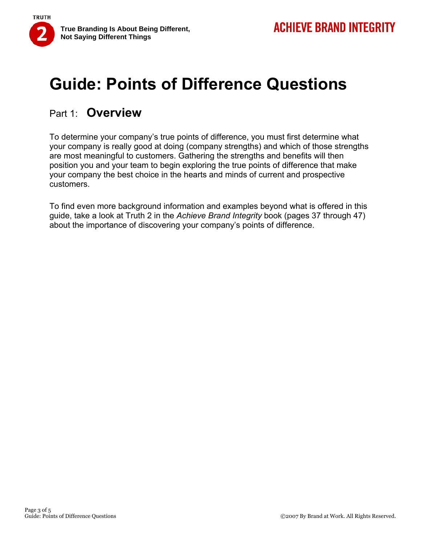

### Part 1: **Overview**

To determine your company's true points of difference, you must first determine what your company is really good at doing (company strengths) and which of those strengths are most meaningful to customers. Gathering the strengths and benefits will then position you and your team to begin exploring the true points of difference that make your company the best choice in the hearts and minds of current and prospective customers.

To find even more background information and examples beyond what is offered in this guide, take a look at Truth 2 in the *Achieve Brand Integrity* book (pages 37 through 47) about the importance of discovering your company's points of difference.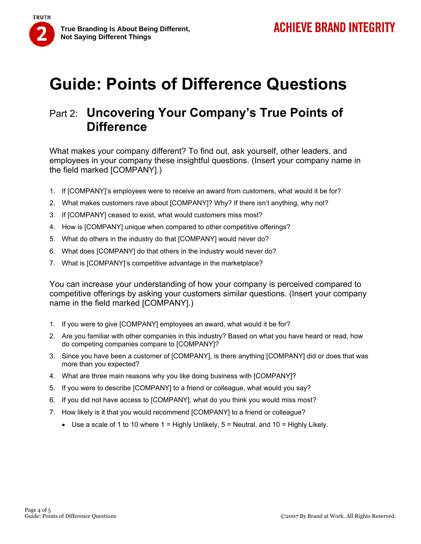

### Part 2: **Uncovering Your Company's True Points of Difference**

What makes your company different? To find out, ask yourself, other leaders, and employees in your company these insightful questions. (Insert your company name in the field marked [COMPANY].)

- 1. If [COMPANY]'s employees were to receive an award from customers, what would it be for?
- 2. What makes customers rave about [COMPANY]? Why? If there isn't anything, why not?
- 3. If [COMPANY] ceased to exist, what would customers miss most?
- 4. How is [COMPANY] unique when compared to other competitive offerings?
- 5. What do others in the industry do that [COMPANY] would never do?
- 6. What does [COMPANY] do that others in the industry would never do?
- 7. What is [COMPANY]'s competitive advantage in the marketplace?

You can increase your understanding of how your company is perceived compared to competitive offerings by asking your customers similar questions. (Insert your company name in the field marked [COMPANY].)

- 1. If you were to give [COMPANY] employees an award, what would it be for?
- 2. Are you familiar with other companies in this industry? Based on what you have heard or read, how do competing companies compare to [COMPANY]?
- 3. Since you have been a customer of [COMPANY], is there anything [COMPANY] did or does that was more than you expected?
- 4. What are three main reasons why you like doing business with [COMPANY]?
- 5. If you were to describe [COMPANY] to a friend or colleague, what would you say?
- 6. If you did not have access to [COMPANY], what do you think you would miss most?
- 7. How likely is it that you would recommend [COMPANY] to a friend or colleague?
	- Use a scale of 1 to 10 where  $1 =$  Highly Unlikely,  $5 =$  Neutral, and  $10 =$  Highly Likely.